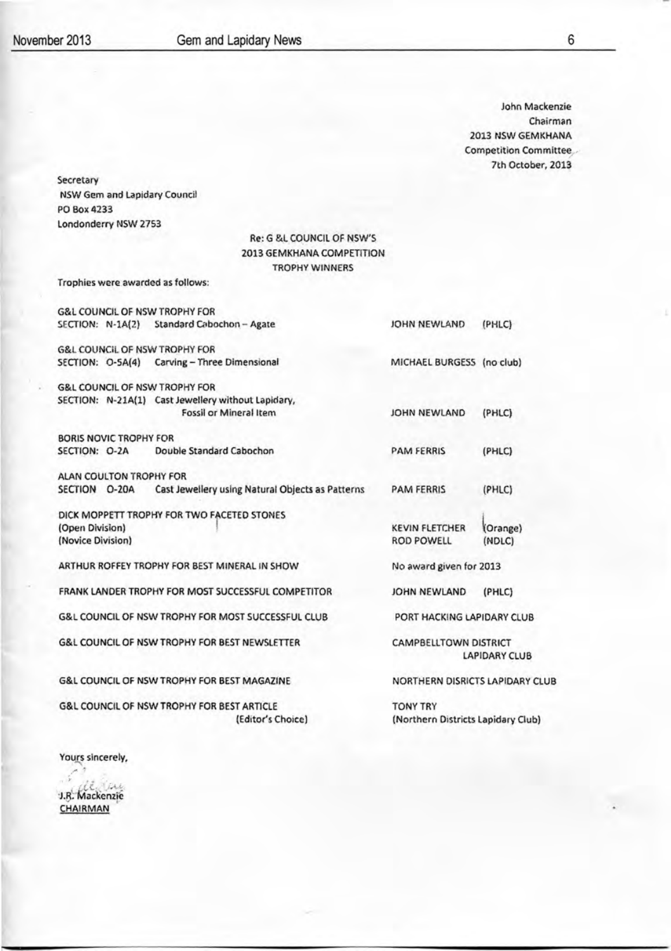6

John Mackenzie Chairman 20l3 NSW GEMKHANA Competition Committee 7th October, 2013

Secretary NSW Gem and Lapidary Council PO Box4233 Londonderry NSW 2753

#### Re: G &L COUNCIL OF NSW'S 2013 GEMKHANA COMPETITION TROPHY WINNERS

Trophies were awarded as follows:

|                                                               |                               | <b>G&amp;L COUNCIL OF NSW TROPHY FOR</b>               |                                    |          |
|---------------------------------------------------------------|-------------------------------|--------------------------------------------------------|------------------------------------|----------|
|                                                               |                               | SECTION: N-1A(2) Standard Cabochon - Agate             | JOHN NEWLAND                       | (PHLC)   |
|                                                               |                               | <b>G&amp;L COUNCIL OF NSW TROPHY FOR</b>               |                                    |          |
|                                                               |                               | SECTION: O-SA(4) Carving - Three Dimensional           | MICHAEL BURGESS (no club)          |          |
|                                                               |                               | <b>G&amp;L COUNCIL OF NSW TROPHY FOR</b>               |                                    |          |
|                                                               |                               | SECTION: N-21A(1) Cast Jewellery without Lapidary,     |                                    |          |
|                                                               |                               | Fossil or Mineral Item                                 | JOHN NEWLAND                       | (PHLC)   |
|                                                               | <b>BORIS NOVIC TROPHY FOR</b> |                                                        |                                    |          |
| SECTION: O-2A                                                 |                               | Double Standard Cabochon                               | <b>PAM FERRIS</b>                  | (PHLC)   |
|                                                               | ALAN COULTON TROPHY FOR       |                                                        |                                    |          |
| SECTION O-20A                                                 |                               | Cast Jewellery using Natural Objects as Patterns       | <b>PAM FERRIS</b>                  | (PHLC)   |
|                                                               |                               | DICK MOPPETT TROPHY FOR TWO FACETED STONES             |                                    |          |
| (Open Division)                                               |                               |                                                        | <b>KEVIN FLETCHER</b>              | (Orange) |
| (Novice Division)                                             |                               |                                                        | <b>ROD POWELL</b>                  | (NDLC)   |
| ARTHUR ROFFEY TROPHY FOR BEST MINERAL IN SHOW                 |                               | No award given for 2013                                |                                    |          |
|                                                               |                               | FRANK LANDER TROPHY FOR MOST SUCCESSFUL COMPETITOR     | JOHN NEWLAND                       | (PHLC)   |
| <b>G&amp;L COUNCIL OF NSW TROPHY FOR MOST SUCCESSFUL CLUB</b> |                               | PORT HACKING LAPIDARY CLUB                             |                                    |          |
| G&L COUNCIL OF NSW TROPHY FOR BEST NEWSLETTER                 |                               | CAMPBELLTOWN DISTRICT<br>LAPIDARY CLUB                 |                                    |          |
|                                                               |                               | <b>G&amp;L COUNCIL OF NSW TROPHY FOR BEST MAGAZINE</b> | NORTHERN DISRICTS LAPIDARY CLUB    |          |
| <b>G&amp;L COUNCIL OF NSW TROPHY FOR BEST ARTICLE</b>         |                               |                                                        | <b>TONY TRY</b>                    |          |
|                                                               |                               | (Editor's Choice)                                      | (Northern Districts Lapidary Club) |          |

Yours sincerely,

e.<br>R. Mackenzie CHAIRMAN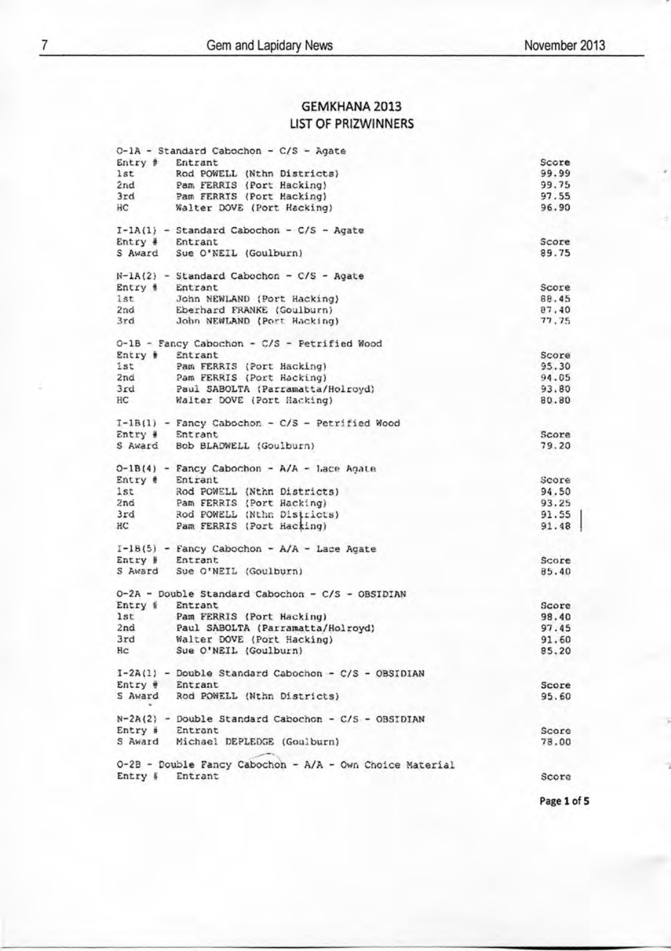## **GEMKHANA 2013 LIST OF PRIZWINNERS**

| 0-1A - Standard Cabochon - C/S - Agate                                 |                |
|------------------------------------------------------------------------|----------------|
| Entry # Entrant                                                        | Score          |
| 1st<br>Rod POWELL (Nthn Districts)                                     | 99.99          |
| Pam FERRIS (Port Hacking)<br>2nd                                       | 99.75          |
| 3rd<br>Pam FERRIS (Port Hacking)                                       | 97.55          |
| ΗС<br>Walter DOVE (Port Hacking)                                       | 96.90          |
| $I - lA(1)$ - Standard Cabochon - C/S - Agate                          |                |
| Entrant<br>$Entry +$                                                   | Score          |
| S Award Sue O'NEIL (Goulburn)                                          | 89.75          |
| $N-LA(2)$ - Standard Cabochon - C/S - Agate                            |                |
| Entry # Entrant                                                        | Score          |
| 1st<br>John NEWLAND (Port Hacking)                                     | 88.45          |
| 2nd<br>Eberhard FRANKE (Goulburn)                                      | 87.40          |
| 3rd<br>John NEWLAND (Port Hacking)                                     | 77.75          |
| 0-1B - Fancy Cabochon - C/S - Petrified Wood                           |                |
| Entry #<br>Entrant                                                     | Score          |
| 1st<br>Pam FERRIS (Port Hacking)                                       | 95.30<br>94.05 |
| 2nd<br>Pam FERRIS (Port Hacking)<br>3rd                                | 93.80          |
| Paul SABOLTA (Parramatta/Holroyd)<br>HC                                | 80.80          |
| Walter DOVE (Port Hacking)                                             |                |
| I-1B(1) - Fancy Cabochon - C/S - Petrified Wood                        |                |
| $Entry$ # Entrant                                                      | Score          |
| S Award Bob BLADWELL (Goulburn)                                        | 79.20          |
| 0-1B(4) - Fancy Cabochon - A/A - Lace Agate                            |                |
| Entry #<br>Entrant                                                     | Score          |
| Rod POWELL (Nthn Districts)<br>1st                                     | 94.50          |
| Pam FERRIS (Port Hacking)<br>2nd                                       | 93.25          |
| 3rd<br>Rod POWELL (Nthn Districts)                                     | 91.55          |
| Pam FERRIS (Port Hacking)<br>HC                                        | 91.48          |
| $I-IB(5)$ - Fancy Cabochon - A/A - Lace Agate                          |                |
| Entry #<br>Entrant                                                     | Score          |
| S Award<br>Sue O'NEIL (Goulburn)                                       | 85.40          |
| 0-2A - Double Standard Cabochon - C/S - OBSIDIAN                       |                |
| Entry #<br>Entrant                                                     | Score          |
| 1st<br>Pam FERRIS (Port Hacking)<br>2nd                                | 98.40          |
| Paul SABOLTA (Parramatta/Holroyd)<br>3rd                               | 97.45          |
| Walter DOVE (Port Hacking)<br>Hc                                       | 91.60          |
| Sue O'NEIL (Goulburn)                                                  | 85,20          |
| I-2A(1) - Double Standard Cabochon - C/S - OBSIDIAN<br>Entry # Entrant |                |
| S Award<br>Rod POWELL (Nthn Districts)                                 | Score<br>95.60 |
|                                                                        |                |
| $N-2A(2)$ - Double Standard Cabochon - C/S - OBSIDIAN                  |                |
| Entry # Entrant                                                        | Score          |
| S Award Michael DEPLEDGE (Goulburn)                                    | 78.00          |
| 0-2B - Double Fancy Cabochon - A/A - Own Choice Material               |                |
| Entry #<br>Entrant                                                     | Score          |
|                                                                        |                |

Page 1 of 5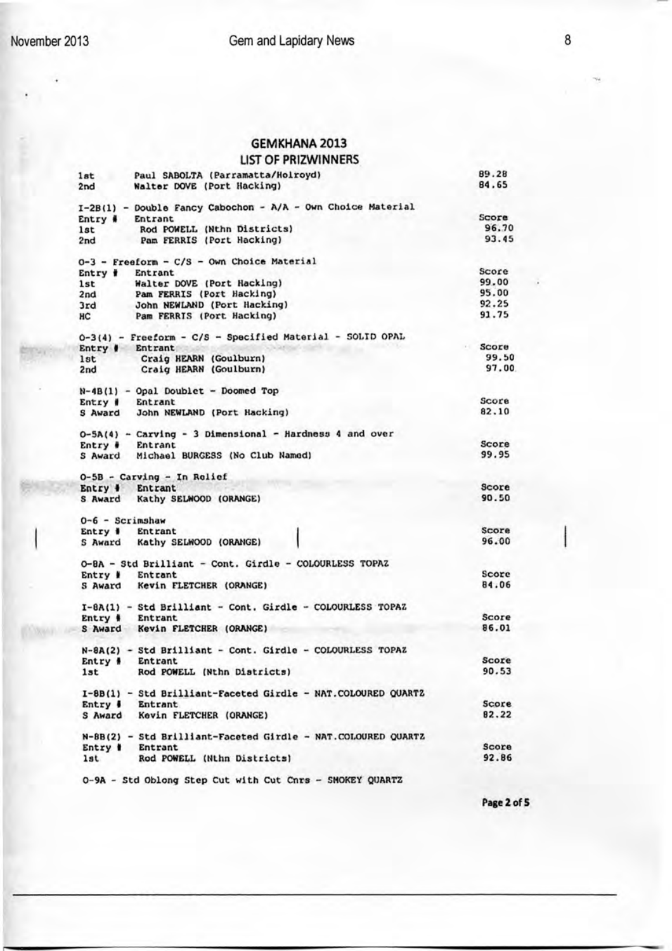### GEMKHANA 2013

### LIST OF PRIZWINNERS

| 1st                    | Paul SABOLTA (Parramatta/Holroyd)                            | 89.28 |
|------------------------|--------------------------------------------------------------|-------|
| 2nd                    | Walter DOVE (Port Hacking)                                   | 84.65 |
|                        | I-2B(1) - Double Fancy Cabochon - A/A - Own Choice Material  |       |
| $Entry$ $\#$           | <b>Entrant</b>                                               | Score |
| 1st                    | Rod POWELL (Nthn Districts)                                  | 96.70 |
| 2nd                    | Pam FERRIS (Port Hacking)                                    | 93.45 |
|                        | 0-3 - Freeform - C/S - Own Choice Material                   |       |
|                        | Entry # Entrant                                              | Score |
| 1st                    | Walter DOVE (Port Hacking)                                   | 99.00 |
| 2nd                    | Pam FERRIS (Port Hacking)                                    | 95.00 |
| 3rd                    | John NEWLAND (Port Hacking)                                  | 92.25 |
| HС                     | Pam FERRIS (Port Hacking)                                    | 91.75 |
|                        | 0-3(4) - Freeform - C/S - Specified Material - SOLID OPAL    |       |
|                        | Entry # Entrant                                              | Score |
| 1st                    | Craig HEARN (Goulburn)                                       | 99.50 |
| 2nd                    | Craig HEARN (Goulburn)                                       | 97.00 |
|                        |                                                              |       |
|                        | $N-4B(1)$ - Opal Doublet - Doomed Top                        |       |
|                        | Entry # Entrant                                              | Score |
| S Award                | John NEWLAND (Port Hacking)                                  | 82.10 |
|                        |                                                              |       |
|                        | 0-5A(4) - Carving - 3 Dimensional - Hardness 4 and over      |       |
| Entry $\ddot{\bullet}$ | <b>Entrant</b>                                               | Score |
| S Award                | Michael BURGESS (No Club Named)                              | 99.95 |
|                        | 0-5B - Carving - In Rolief                                   |       |
|                        | Entry # Entrant                                              | Score |
|                        | S Award Kathy SELWOOD (ORANGE)                               | 90.50 |
|                        | $0-6$ - Scrimshaw                                            |       |
| Entry #                | Entrant                                                      | Score |
|                        |                                                              | 96.00 |
| 5 Award                | Kathy SELWOOD (ORANGE)                                       |       |
|                        | 0-8A - Std Brilliant - Cont. Girdle - COLOURLESS TOPAZ       |       |
| Entry #                | Entrant                                                      | Score |
| S Award                | Kevin FLETCHER (ORANGE)                                      | 84.06 |
|                        | I-8A(1) - Std Brilliant - Cont. Girdle - COLOURLESS TOPAZ    |       |
| Entry #                | Entrant                                                      | Score |
|                        |                                                              | 86.01 |
|                        | S Award Kevin FLETCHER (ORANGE)                              |       |
|                        | N-8A(2) - Std Brilliant - Cont. Girdle - COLOURLESS TOPAZ    |       |
| Entry #                | Entrant                                                      | Score |
| 1st                    | Rod POWELL (Nthn Districts)                                  | 90.53 |
|                        | I-8B(1) - Std Brilliant-Faceted Girdle - NAT.COLOURED QUART2 |       |
| $Entry \#$             | Entrant                                                      | Score |
|                        | S Award Kevin FLETCHER (ORANGE)                              | 82.22 |
|                        |                                                              |       |
|                        | N-8B(2) - Std Brilliant-Faceted Girdle - NAT.COLOURED QUARTZ |       |
|                        | Entry # Entrant                                              | Score |
| 1st                    | Rod POWELL (Nthn Districts)                                  | 92.86 |
|                        |                                                              |       |
|                        | 0-9A - Std Oblong Step Cut with Cut Cnrs - SMOKEY QUARTZ     |       |

Page 2 of 5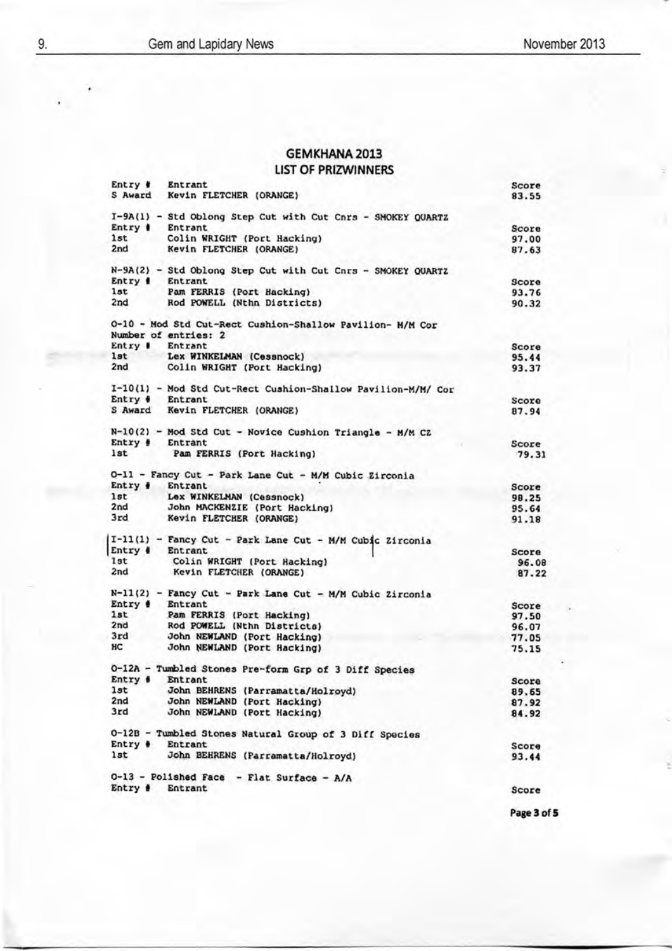# GEMKHANA 2013

LIST OF PRIZWINNERS

| Entry #         | Entrant                                                      | Score          |
|-----------------|--------------------------------------------------------------|----------------|
|                 | S Award Kevin FLETCHER (ORANGE)                              | 83.55          |
|                 |                                                              |                |
| Entry # Entrant | I-9A(1) - Std Oblong Step Cut with Cut Cnrs - SMOKEY QUARTZ  |                |
| 1st             | Colin WRIGHT (Port Hacking)                                  | Score          |
| a na<br>2nd     | Kevin FLETCHER (ORANGE)                                      | 97.00<br>87.63 |
|                 |                                                              |                |
|                 | N-9A(2) - Std Oblong Step Cut with Cut Cnrs - SMOKEY QUARTZ  |                |
| Entry #         | Entrant                                                      | Score          |
| 1st             | Pam FERRIS (Port Hacking)                                    | 93.76          |
| 2nd             | Rod POWELL (Nthn Districts)                                  | 90.32          |
|                 | O-10 - Mod Std Cut-Rect Cushion-Shallow Pavilion- M/M Cor    |                |
|                 | Number of entries: 2                                         |                |
| Entry #         | Entrant                                                      | Score          |
| lst             | Lex WINKELMAN (Cessnock)                                     | 95.44          |
| 2nd             | Colin WRIGHT (Port Hacking)                                  | 93.37          |
|                 |                                                              |                |
|                 | I-10(1) - Mod Std Cut-Rect Cushion-Shallow Pavilion-M/M/ Cor |                |
| Entry # Entrant |                                                              | Score          |
|                 | S Award Kevin FLETCHER (ORANGE)                              | 87.94          |
|                 | N-10(2) - Mod Std Cut - Novice Cushion Triangle - M/M CZ     |                |
| $Entry \#$      | Entrant                                                      | Score          |
| <b>lst</b>      | Pam FERRIS (Port Hacking)                                    | 79.31          |
|                 | 0-11 - Fancy Cut - Park Lane Cut - M/M Cubic Zirconia        |                |
| Entry # Entrant |                                                              | Score          |
| 1st             | Lex WINKELMAN (Cessnock)                                     | 98.25          |
| 2nd             | John MACKENZIE (Port Hacking)                                | 95.64          |
| 3rd             | Kevin FLETCHER (ORANGE)                                      | 91.18          |
|                 |                                                              |                |
|                 | I-11(1) - Fancy Cut - Park Lane Cut - M/M Cubic Zirconia     |                |
| Entry # Entrant |                                                              | Score          |
| 1st             | Colin WRIGHT (Port Hacking)                                  | 96.08          |
| 2nd             | Kevin FLETCHER (ORANGE)                                      | 87.22          |
|                 | N-11(2) - Fancy Cut - Park Lane Cut - M/M Cubic Zirconia     |                |
| Entry # Entrant |                                                              | Score          |
| 1st             | Pam FERRIS (Port Hacking)                                    | 97.50          |
| 2nd             | Rod POWELL (Nthn Districts)                                  | 96.07          |
| 3rd             | John NEWLAND (Port Hacking)                                  | 77.05          |
| HC              | John NEWLAND (Port Hacking)                                  | 75.15          |
|                 | 0-12A - Tumbled Stones Pre-form Grp of 3 Diff Species        |                |
| Entry #         | Entrant                                                      |                |
| lst             | John BEHRENS (Parramatta/Holroyd)                            | Score<br>89.65 |
| 2nd             | John NEWLAND (Port Hacking)                                  | 87.92          |
| 3rd             | John NEWLAND (Port Hacking)                                  | 84.92          |
|                 |                                                              |                |
|                 | 0-12B - Tumbled Stones Natural Group of 3 Diff Species       |                |
| Entry $\ast$    | Entrant                                                      | Score          |
| 1st             | John BEHRENS (Parramatta/Holroyd)                            | 93.44          |
|                 | 0-13 - Polished Face - Flat Surface - A/A                    |                |
| Entry # Entrant |                                                              | Score          |
|                 |                                                              |                |
|                 |                                                              |                |

Page 3 of 5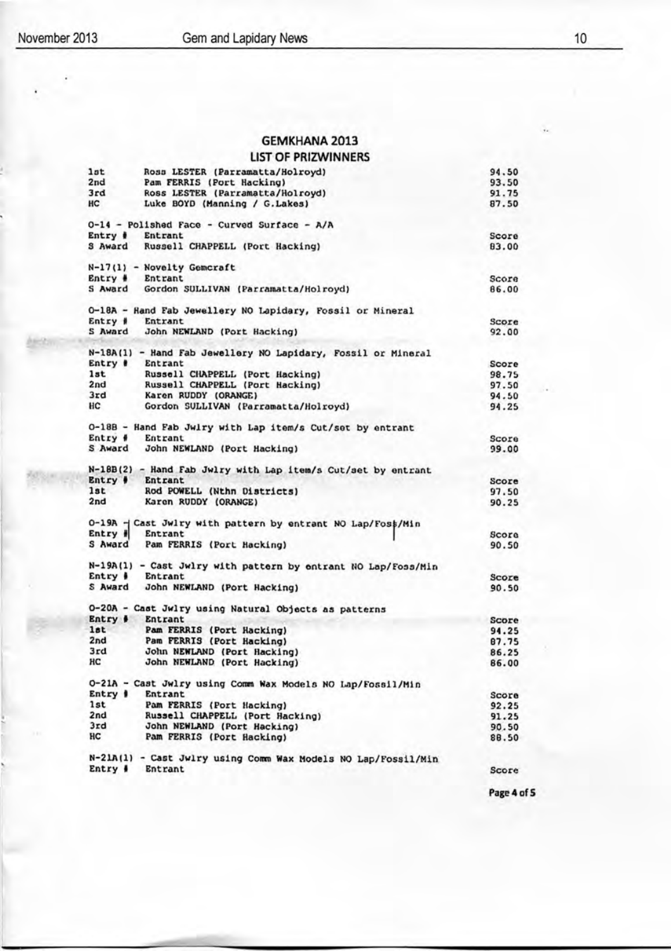### GEMKHANA 2013

### LIST OF PRIZWINNERS

| 1st        | Ross LESTER (Parramatta/Holroyd)                              | 94.50 |
|------------|---------------------------------------------------------------|-------|
| 2nd        | Pam FERRIS (Port Hacking)                                     | 93.50 |
| 3rd        | Ross LESTER (Parramatta/Holroyd)                              | 91.75 |
| <b>HC</b>  | Luke BOYD (Manning / G. Lakes)                                | 87.50 |
|            | 0-14 - Polished Face - Curved Surface - A/A                   |       |
| Entry #    | Entrant                                                       | Score |
|            | S Award Russell CHAPPELL (Port Hacking)                       | 83.00 |
|            | $N-17(1)$ - Novelty Gemcraft                                  |       |
|            | Entry # Entrant                                               | Score |
| S Award    | Gordon SULLIVAN (Parramatta/Holroyd)                          | 86.00 |
|            | O-18A - Rand Fab Jewellery NO Lapidary, Fossil or Mineral     |       |
| Entry #    | Entrant                                                       | Score |
| S Award    | John NEWLAND (Port Hacking)                                   | 92.00 |
|            | N-18A(1) - Hand Fab Jewellery NO Lapidary, Fossil or Mineral  |       |
| Entry #    | Entrant                                                       | Score |
| 1st        | Russell CHAPPELL (Port Hacking)                               | 98.75 |
| 2nd        | Russell CHAPPELL (Port Hacking)                               | 97.50 |
| 3rd        | Karen RUDDY (ORANGE)                                          | 94.50 |
| HC         | Gordon SULLIVAN (Parramatta/Holroyd)                          | 94.25 |
|            | 0-18B - Hand Fab Jwlry with Lap item/s Cut/set by entrant     |       |
| $Entry \#$ | Entrant                                                       | Score |
| S Award    | John NEWLAND (Port Hacking)                                   | 99.00 |
|            |                                                               |       |
|            | N-18B(2) - Hand Fab Jwlry with Lap item/s Cut/set by entrant  |       |
| Entry #    | Entrant                                                       | Score |
| 1st        | Rod POWELL (Nthn Districts)                                   | 97.50 |
| 2nd        | Karen RUDDY (ORANGE)                                          | 90.25 |
|            | 0-19A - Cast Jwlry with pattern by entrant NO Lap/Fos\$/Min   |       |
| Entry #    | Entrant                                                       | Score |
| S Award    | Pam FERRIS (Port Hacking)                                     | 90.50 |
|            | N-19A(1) - Cast Jwlry with pattern by entrant NO Lap/Foss/Min |       |
| $Entry \#$ | Entrant                                                       | Score |
|            | S Award John NEWLAND (Port Hacking)                           | 90.50 |
|            | O-20A - Cast Jwlry using Natural Objects as patterns          |       |
| Entry #    | <b>Entrant</b>                                                | Score |
| 1st        | Pam FERRIS (Port Hacking)                                     | 94.25 |
| 2nd        | Pam FERRIS (Port Hacking)                                     | 87.75 |
| 3rd        | John NEWLAND (Port Hacking)                                   | 86.25 |
| HС         | John NEWLAND (Port Hacking)                                   | 86.00 |
|            | 0-21A - Cast Jwlry using Comm Wax Models NO Lap/Fossil/Min    |       |
| Entry #    | Entrant                                                       | Score |
| 1st        | Pam FERRIS (Port Hacking)                                     | 92.25 |
| 2nd        | Russell CHAPPELL (Port Hacking)                               | 91.25 |
| 3rd        | John NEWLAND (Port Hacking)                                   |       |
| HC         | Pam FERRIS (Port Hacking)                                     | 90.50 |
|            |                                                               | 88.50 |
|            | N-21A(1) - Cast Jwlry using Comm Wax Models NO Lap/Fossil/Min |       |
|            | Entry # Entrant                                               | Score |
|            |                                                               |       |

Page 4 of 5